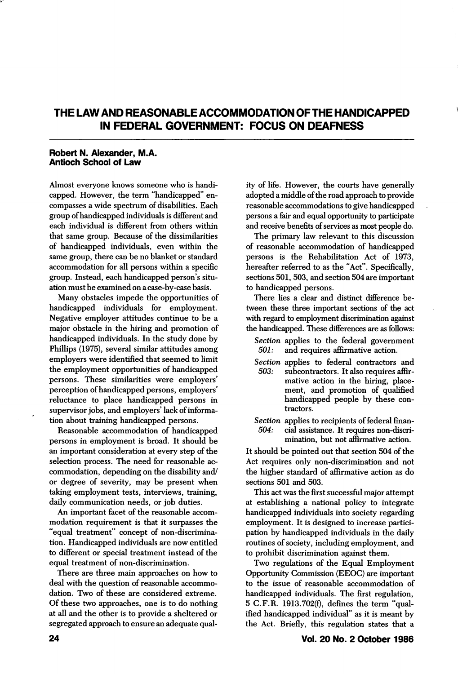## THE LAW AND REASONABLE ACCOMMODATION OF THE HANDICAPPED IN FEDERAL GOVERNMENT: FOCUS ON DEAFNESS

## Robert N. Alexander, M.A. Antioch School of Law

Almost everyone knows someone who is handi capped. However, the term "handicapped" en compasses a wide spectrum of disabilities. Each group of handicapped individuals is different and each individual is different from others within that same group. Because of the dissimilarities of handicapped individuals, even within the same group, there can be no blanket or standard accommodation for all persons within a specific group. Instead, each handicapped person's situ ation must be examined on a case-by-case basis.

Many obstacles impede the opportunities of handicapped individuals for employment. Negative employer attitudes continue to be a major obstacle in the hiring and promotion of handicapped individuals. In the study done by Phillips (1975), several similar attitudes among employers were identified that seemed to limit the employment opportunities of handicapped persons. These similarities were employers' perception of handicapped persons, employers' reluctance to place handicapped persons in supervisor jobs, and employers' lack of informa tion about training handicapped persons.

Reasonable accommodation of handicapped persons in employment is broad. It should be an important consideration at every step of the selection process. The need for reasonable ac commodation, depending on the disability and/ or degree of severity, may be present when taking employment tests, interviews, training, daily communication needs, or job duties.

An important facet of the reasonable accom modation requirement is that it surpasses the "equal treatment" concept of non-discrimina tion. Handicapped individuals are now entitled to different or special treatment instead of the equal treatment of non-discrimination.

There are three main approaches on how to deal with the question of reasonable accommo dation. Two of these are considered extreme. Of these two approaches, one is to do nothing at all and the other is to provide a sheltered or segregated approach to ensure an adequate quality of life. However, the courts have generally adopted a middle of the road approach to provide reasonable accommodations to give handicapped persons a fair and equal opportunity to participate and receive benefits of services as most people do.

The primary law relevant to this discussion of reasonable accommodation of handicapped persons is the Rehabilitation Act of 1973, hereafter referred to as the "Act". Specifically, sections 501, 503, and section 504 are important to handicapped persons.

There lies a clear and distinct difference be tween these three important sections of the act with regard to employment discrimination against the handicapped. These differences are as follows:

- Section applies to the federal government 501: and requires affirmative action.
- Section applies to federal contractors and<br>503: subcontractors. It also requires affirsubcontractors. It also requires affirmative action in the hiring, place ment, and promotion of qualified handicapped people by these con tractors.
- Section applies to recipients of federal finan-504: cial assistance. It requires non-discri mination, but not affirmative action.

It should be pointed out that section 504 of the Act requires only non-discrimination and not the higher standard of affirmative action as do sections 501 and 503.

This act was the first successful major attempt at establishing a national policy to integrate handicapped individuals into society regarding employment. It is designed to increase partici pation by handicapped individuals in the daily routines of society, including employment, and to prohibit discrimination against them.

Two regulations of the Equal Employment Opportunity Commission (EEOC) are important to the issue of reasonable accommodation of handicapped individuals. The first regulation, 5 C.F.R. 1913.702(f), defines the term "qual ified handicapped individual" as it is meant by the Act. Briefly, this regulation states that a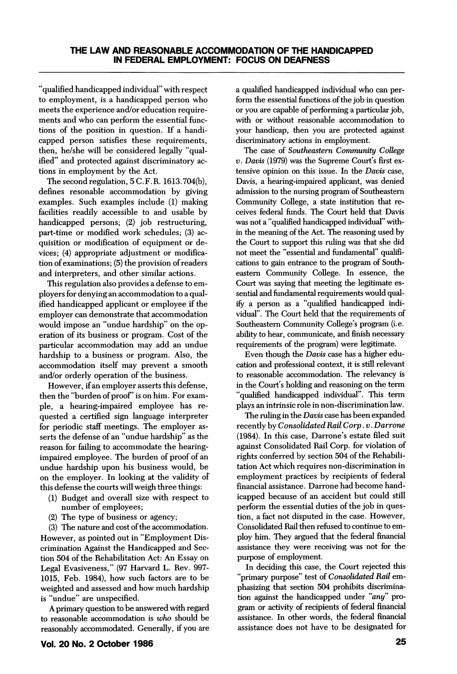"qualified handicapped individual" with respect to employment, is a handicapped person who meets the experience and/or education require ments and who can perform the essential func tions of the position in question. If a handi capped person satisfies these requirements, then, he/she will be considered legally "qual ified" and protected against discriminatory ac tions in employment by the Act.

The second regulation, 5 C.F.R. 1613.704(b), defines resonable accommodation by giving examples. Such examples include (1) making facilities readily accessible to and usable by handicapped persons; (2) job restructuring, part-time or modified work schedules; (3) ac quisition or modification of equipment or devices; (4) appropriate adjustment or modifica tion of examinations; (5) the provision of readers and interpreters, and other similar actions.

This regulation also provides a defense to em ployers for denying an accommodation to a qual ified handicapped applicant or employee if the employer can demonstrate that accommodation would impose an "undue hardship" on the op eration of its business or program. Cost of the particular accommodation may add an undue hardship to a business or program. Also, the accommodation itself may prevent a smooth and/or orderly operation of the business.

However, if an employer asserts this defense, then the "burden of proof" is on him. For example, a hearing-impaired employee has re quested a certified sign language interpreter for periodic staff meetings. The employer as serts the defense of an "undue hardship" as the reason for failing to accommodate the hearingimpaired employee. The burden of proof of an undue hardship upon his business would, be on the employer. In looking at the validity of this defense the courts will weigh three things:

- (1) Budget and overall size with respect to number of employees;
- (2) The type of business or agency;

(3) The nature and cost of the accommodation. However, as pointed out in "Employment Dis crimination Against the Handicapped and Sec tion 504 of the Rehabilitation Act: An Essay on Legal Evasiveness," (97 Harvard L. Rev. 997- 1015, Feb. 1984), how such factors are to be weighted and assessed and how much hardship is "undue" are unspecified.

A primary question to be answered with regard to reasonable accommodation is who should be reasonably accommodated. Generally, if you are

a qualified handicapped individual who can per form the essential functions of the job in question or you are capable of performing a particular job, with or without reasonable accommodation to your handicap, then you are protected against discriminatory actions in employment.

The case of Southeastern Community College V. Davis (1979) was the Supreme Court's first ex tensive opinion on this issue. In the Davis case, Davis, a hearing-impaired applicant, was denied admission to the nursing program of Southeastern Community College, a state institution that re ceives federal funds. The Court held that Davis was not a "qualified handicapped individual" with in the meaning of the Act. The reasoning used by the Court to support this ruling was that she did not meet the "essential and fundamental" qualifi cations to gain entrance to the program of Southeastern Community College. In essence, the Court was saying that meeting the legitimate es sential and fundamental requirements would qual ify a person as a "qualified handicapped indi vidual". The Court held that the requirements of Southeastern Community College's program (i.e. ability to hear, communicate, and finish necessary requirements of the program) were legitimate.

Even though the Davis case has a higher edu cation and professional context, it is still relevant to reasonable accommodation. The relevancy is in the Court's holding and reasoning on the term "qualified handicapped individual". This term plays an intrinsic role in non-discrimination law.

The ruling in the Davis case has been expanded recently by Consolidated Rail Corp. v. Darrone (1984). In this case, Darrone's estate filed suit against Consolidated Rail Corp. for violation of rights conferred by section 504 of the Rehabili tation Act which requires non-discrimination in employment practices by recipients of federal financial assistance. Darrone had become hand icapped because of an accident but could still perform the essential duties of the job in ques tion, a fact not disputed in the case. However, Consolidated Rail then refused to continue to em ploy him. They argued that the federal financial assistance they were receiving was not for the purpose of employment.

In deciding this case, the Court rejected this "primary purpose" test of Consolidated Rail emphasizing that section 504 prohibits discrimina tion against the handicapped under "any" pro gram or activity of recipients of federal financial assistance. In other words, the federal financial assistance does not have to be designated for